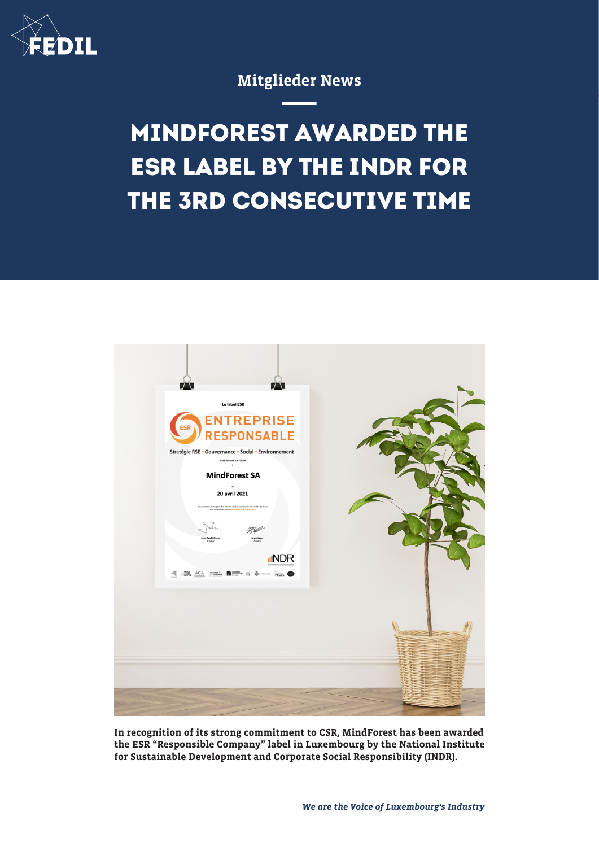

## Mitglieder News

## **MINDFOREST AWARDED THE ESR LABEL BY THE INDR FOR THE 3RD CONSECUTIVE TIME**



In recognition of its strong commitment to CSR, MindForest has been awarded the ESR "Responsible Company" label in Luxembourg by the National Institute for Sustainable Development and Corporate Social Responsibility (INDR).